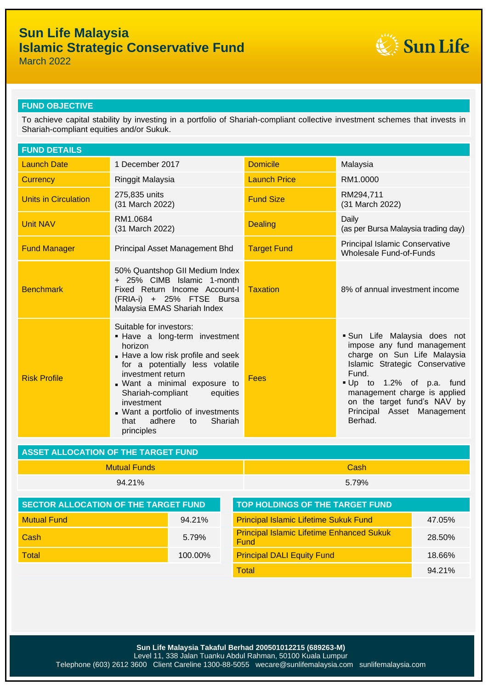# **Sun Life Malaysia Islamic Strategic Conservative Fund**



March 2022

### **FUND OBJECTIVE**

To achieve capital stability by investing in a portfolio of Shariah-compliant collective investment schemes that invests in Shariah-compliant equities and/or Sukuk.

| <b>FUND DETAILS</b>                        |                                                                                                                                                                                                                                                                                                                                      |                                                          |                                                                                                                                                                                                                                                                         |        |  |  |
|--------------------------------------------|--------------------------------------------------------------------------------------------------------------------------------------------------------------------------------------------------------------------------------------------------------------------------------------------------------------------------------------|----------------------------------------------------------|-------------------------------------------------------------------------------------------------------------------------------------------------------------------------------------------------------------------------------------------------------------------------|--------|--|--|
| <b>Launch Date</b>                         | 1 December 2017                                                                                                                                                                                                                                                                                                                      | <b>Domicile</b>                                          | Malaysia                                                                                                                                                                                                                                                                |        |  |  |
| <b>Currency</b>                            | Ringgit Malaysia                                                                                                                                                                                                                                                                                                                     | <b>Launch Price</b>                                      | RM1.0000                                                                                                                                                                                                                                                                |        |  |  |
| <b>Units in Circulation</b>                | 275,835 units<br>(31 March 2022)                                                                                                                                                                                                                                                                                                     | <b>Fund Size</b>                                         | RM294,711<br>(31 March 2022)                                                                                                                                                                                                                                            |        |  |  |
| <b>Unit NAV</b>                            | RM1.0684<br>(31 March 2022)                                                                                                                                                                                                                                                                                                          | <b>Dealing</b>                                           | Daily<br>(as per Bursa Malaysia trading day)                                                                                                                                                                                                                            |        |  |  |
| <b>Fund Manager</b>                        | Principal Asset Management Bhd                                                                                                                                                                                                                                                                                                       | <b>Target Fund</b>                                       | Principal Islamic Conservative<br>Wholesale Fund-of-Funds                                                                                                                                                                                                               |        |  |  |
| <b>Benchmark</b>                           | 50% Quantshop GII Medium Index<br>+ 25% CIMB Islamic 1-month<br>Fixed Return Income Account-I<br>(FRIA-i) + 25% FTSE Bursa<br>Malaysia EMAS Shariah Index                                                                                                                                                                            | <b>Taxation</b>                                          | 8% of annual investment income                                                                                                                                                                                                                                          |        |  |  |
| <b>Risk Profile</b>                        | Suitable for investors:<br>. Have a long-term investment<br>horizon<br>Have a low risk profile and seek<br>for a potentially less volatile<br>investment return<br>. Want a minimal exposure to<br>Shariah-compliant<br>equities<br>investment<br>. Want a portfolio of investments<br>adhere<br>Shariah<br>that<br>to<br>principles | <b>Fees</b>                                              | · Sun Life Malaysia does not<br>impose any fund management<br>charge on Sun Life Malaysia<br>Islamic Strategic Conservative<br>Fund.<br>Up to 1.2% of p.a. fund<br>management charge is applied<br>on the target fund's NAV by<br>Principal Asset Management<br>Berhad. |        |  |  |
| <b>ASSET ALLOCATION OF THE TARGET FUND</b> |                                                                                                                                                                                                                                                                                                                                      |                                                          |                                                                                                                                                                                                                                                                         |        |  |  |
| <b>Mutual Funds</b>                        |                                                                                                                                                                                                                                                                                                                                      |                                                          | Cash                                                                                                                                                                                                                                                                    |        |  |  |
|                                            | 94.21%                                                                                                                                                                                                                                                                                                                               | 5.79%                                                    |                                                                                                                                                                                                                                                                         |        |  |  |
|                                            | <b>SECTOR ALLOCATION OF THE TARGET FUND</b>                                                                                                                                                                                                                                                                                          |                                                          | TOP HOLDINGS OF THE TARGET FUND                                                                                                                                                                                                                                         |        |  |  |
| <b>Mutual Fund</b><br>94.21%               |                                                                                                                                                                                                                                                                                                                                      | <b>Principal Islamic Lifetime Sukuk Fund</b>             | 47.05%                                                                                                                                                                                                                                                                  |        |  |  |
| Cash<br>5.79%                              |                                                                                                                                                                                                                                                                                                                                      | <b>Principal Islamic Lifetime Enhanced Sukuk</b><br>Fund |                                                                                                                                                                                                                                                                         | 28.50% |  |  |
| <b>Total</b>                               | 100.00%                                                                                                                                                                                                                                                                                                                              |                                                          | <b>Principal DALI Equity Fund</b>                                                                                                                                                                                                                                       |        |  |  |
|                                            |                                                                                                                                                                                                                                                                                                                                      | <b>Total</b>                                             |                                                                                                                                                                                                                                                                         | 94.21% |  |  |
|                                            |                                                                                                                                                                                                                                                                                                                                      |                                                          |                                                                                                                                                                                                                                                                         |        |  |  |

Level 11, 338 Jalan Tuanku Abdul Rahman, 50100 Kuala Lumpur

Telephone (603) 2612 3600 Client Careline 1300-88-5055 wecare@sunlifemalaysia.com sunlifemalaysia.com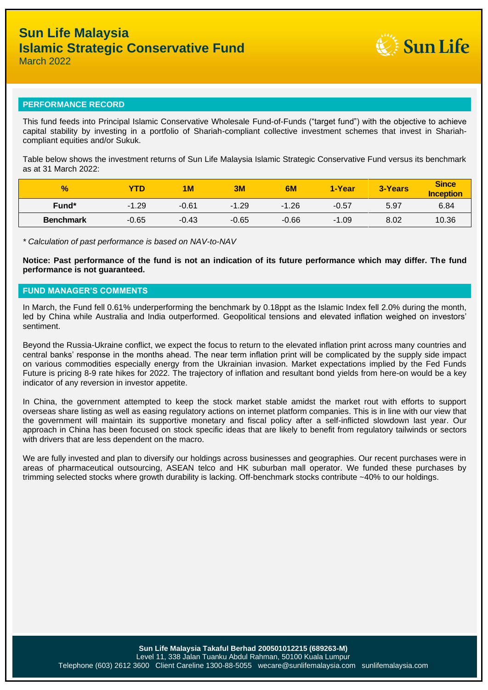

#### **PERFORMANCE RECORD**

This fund feeds into Principal Islamic Conservative Wholesale Fund-of-Funds ("target fund") with the objective to achieve capital stability by investing in a portfolio of Shariah-compliant collective investment schemes that invest in Shariahcompliant equities and/or Sukuk.

Table below shows the investment returns of Sun Life Malaysia Islamic Strategic Conservative Fund versus its benchmark as at 31 March  $2022$ 

| $\frac{1}{2}$    | YTD     | 1 M     | 3M      | 6M      | 1-Year  | <b>3-Years</b> | <b>Since</b><br><b>Inception</b> |
|------------------|---------|---------|---------|---------|---------|----------------|----------------------------------|
| Fund*            | $-1.29$ | $-0.61$ | $-1.29$ | $-1.26$ | $-0.57$ | 5.97           | 6.84                             |
| <b>Benchmark</b> | $-0.65$ | $-0.43$ | $-0.65$ | $-0.66$ | $-1.09$ | 8.02           | 10.36                            |

*\* Calculation of past performance is based on NAV-to-NAV*

**Notice: Past performance of the fund is not an indication of its future performance which may differ. The fund performance is not guaranteed.**

#### **FUND MANAGER'S COMMENTS**

In March, the Fund fell 0.61% underperforming the benchmark by 0.18ppt as the Islamic Index fell 2.0% during the month, led by China while Australia and India outperformed. Geopolitical tensions and elevated inflation weighed on investors' sentiment.

Beyond the Russia-Ukraine conflict, we expect the focus to return to the elevated inflation print across many countries and central banks' response in the months ahead. The near term inflation print will be complicated by the supply side impact on various commodities especially energy from the Ukrainian invasion. Market expectations implied by the Fed Funds Future is pricing 8-9 rate hikes for 2022. The trajectory of inflation and resultant bond yields from here-on would be a key indicator of any reversion in investor appetite.

In China, the government attempted to keep the stock market stable amidst the market rout with efforts to support overseas share listing as well as easing regulatory actions on internet platform companies. This is in line with our view that the government will maintain its supportive monetary and fiscal policy after a self-inflicted slowdown last year. Our approach in China has been focused on stock specific ideas that are likely to benefit from regulatory tailwinds or sectors with drivers that are less dependent on the macro.

We are fully invested and plan to diversify our holdings across businesses and geographies. Our recent purchases were in areas of pharmaceutical outsourcing, ASEAN telco and HK suburban mall operator. We funded these purchases by trimming selected stocks where growth durability is lacking. Off-benchmark stocks contribute ~40% to our holdings.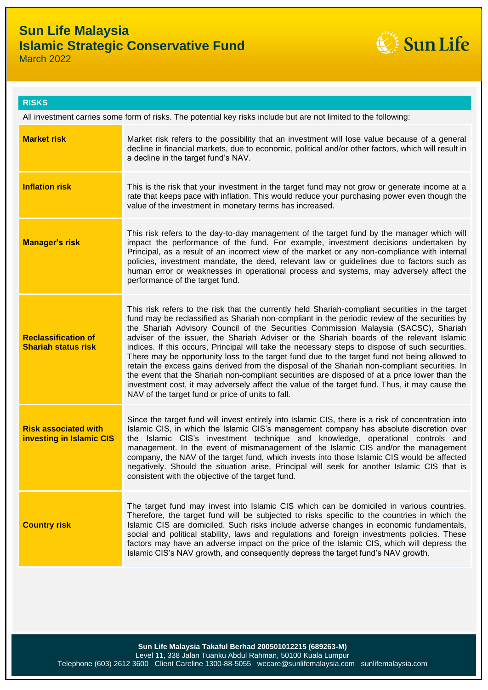

**RISKS**

All investment carries some form of risks. The potential key risks include but are not limited to the following:

| <b>Market risk</b>                                       | Market risk refers to the possibility that an investment will lose value because of a general<br>decline in financial markets, due to economic, political and/or other factors, which will result in<br>a decline in the target fund's NAV.                                                                                                                                                                                                                                                                                                                                                                                                                                                                                                                                                                                                                                                                                                    |  |
|----------------------------------------------------------|------------------------------------------------------------------------------------------------------------------------------------------------------------------------------------------------------------------------------------------------------------------------------------------------------------------------------------------------------------------------------------------------------------------------------------------------------------------------------------------------------------------------------------------------------------------------------------------------------------------------------------------------------------------------------------------------------------------------------------------------------------------------------------------------------------------------------------------------------------------------------------------------------------------------------------------------|--|
| <b>Inflation risk</b>                                    | This is the risk that your investment in the target fund may not grow or generate income at a<br>rate that keeps pace with inflation. This would reduce your purchasing power even though the<br>value of the investment in monetary terms has increased.                                                                                                                                                                                                                                                                                                                                                                                                                                                                                                                                                                                                                                                                                      |  |
| <b>Manager's risk</b>                                    | This risk refers to the day-to-day management of the target fund by the manager which will<br>impact the performance of the fund. For example, investment decisions undertaken by<br>Principal, as a result of an incorrect view of the market or any non-compliance with internal<br>policies, investment mandate, the deed, relevant law or guidelines due to factors such as<br>human error or weaknesses in operational process and systems, may adversely affect the<br>performance of the target fund.                                                                                                                                                                                                                                                                                                                                                                                                                                   |  |
| <b>Reclassification of</b><br><b>Shariah status risk</b> | This risk refers to the risk that the currently held Shariah-compliant securities in the target<br>fund may be reclassified as Shariah non-compliant in the periodic review of the securities by<br>the Shariah Advisory Council of the Securities Commission Malaysia (SACSC), Shariah<br>adviser of the issuer, the Shariah Adviser or the Shariah boards of the relevant Islamic<br>indices. If this occurs, Principal will take the necessary steps to dispose of such securities.<br>There may be opportunity loss to the target fund due to the target fund not being allowed to<br>retain the excess gains derived from the disposal of the Shariah non-compliant securities. In<br>the event that the Shariah non-compliant securities are disposed of at a price lower than the<br>investment cost, it may adversely affect the value of the target fund. Thus, it may cause the<br>NAV of the target fund or price of units to fall. |  |
| <b>Risk associated with</b><br>investing in Islamic CIS  | Since the target fund will invest entirely into Islamic CIS, there is a risk of concentration into<br>Islamic CIS, in which the Islamic CIS's management company has absolute discretion over<br>the Islamic CIS's investment technique and knowledge, operational controls and<br>management. In the event of mismanagement of the Islamic CIS and/or the management<br>company, the NAV of the target fund, which invests into those Islamic CIS would be affected<br>negatively. Should the situation arise, Principal will seek for another Islamic CIS that is<br>consistent with the objective of the target fund.                                                                                                                                                                                                                                                                                                                       |  |
| <b>Country risk</b>                                      | The target fund may invest into Islamic CIS which can be domiciled in various countries.<br>Therefore, the target fund will be subjected to risks specific to the countries in which the<br>Islamic CIS are domiciled. Such risks include adverse changes in economic fundamentals,<br>social and political stability, laws and regulations and foreign investments policies. These<br>factors may have an adverse impact on the price of the Islamic CIS, which will depress the<br>Islamic CIS's NAV growth, and consequently depress the target fund's NAV growth.                                                                                                                                                                                                                                                                                                                                                                          |  |